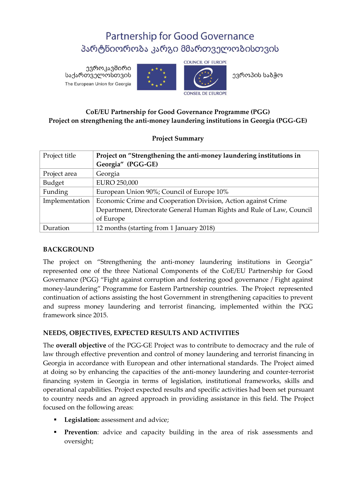# **Partnership for Good Governance** პარტნიორობა კარგი მმართველობისთვის

ევროკავშირი საქართველოსთვის The European Union for Georgia



**COUNCIL OF EUROPE** 

ევროპის საბჭო

## **CoE/EU Partnership for Good Governance Programme (PGG) Project on strengthening the anti-money laundering institutions in Georgia (PGG-GE)**

## **Project Summary**

| Project title  | Project on "Strengthening the anti-money laundering institutions in   |
|----------------|-----------------------------------------------------------------------|
|                | Georgia" (PGG-GE)                                                     |
| Project area   | Georgia                                                               |
| Budget         | EURO 250,000                                                          |
| Funding        | European Union 90%; Council of Europe 10%                             |
| Implementation | Economic Crime and Cooperation Division, Action against Crime         |
|                | Department, Directorate General Human Rights and Rule of Law, Council |
|                | of Europe                                                             |
| Duration       | 12 months (starting from 1 January 2018)                              |

### **BACKGROUND**

The project on "Strengthening the anti-money laundering institutions in Georgia" represented one of the three National Components of the CoE/EU Partnership for Good Governance (PGG) "Fight against corruption and fostering good governance / Fight against money-laundering" Programme for Eastern Partnership countries. The Project represented continuation of actions assisting the host Government in strengthening capacities to prevent and supress money laundering and terrorist financing, implemented within the PGG framework since 2015.

## **NEEDS, OBJECTIVES, EXPECTED RESULTS AND ACTIVITIES**

The **overall objective** of the PGG-GE Project was to contribute to democracy and the rule of law through effective prevention and control of money laundering and terrorist financing in Georgia in accordance with European and other international standards. The Project aimed at doing so by enhancing the capacities of the anti-money laundering and counter-terrorist financing system in Georgia in terms of legislation, institutional frameworks, skills and operational capabilities. Project expected results and specific activities had been set pursuant to country needs and an agreed approach in providing assistance in this field. The Project focused on the following areas:

- **Legislation:** assessment and advice;
- **Prevention**: advice and capacity building in the area of risk assessments and oversight;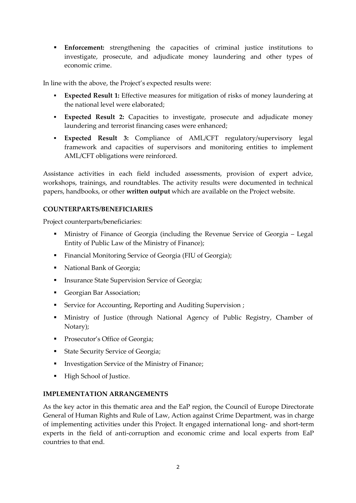**Enforcement:** strengthening the capacities of criminal justice institutions to investigate, prosecute, and adjudicate money laundering and other types of economic crime.

In line with the above, the Project's expected results were:

- **Expected Result 1:** Effective measures for mitigation of risks of money laundering at the national level were elaborated;
- **Expected Result 2:** Capacities to investigate, prosecute and adjudicate money laundering and terrorist financing cases were enhanced;
- **Expected Result 3:** Compliance of AML/CFT regulatory/supervisory legal framework and capacities of supervisors and monitoring entities to implement AML/CFT obligations were reinforced.

Assistance activities in each field included assessments, provision of expert advice, workshops, trainings, and roundtables. The activity results were documented in technical papers, handbooks, or other **written output** which are available on the Project website.

#### **COUNTERPARTS/BENEFICIARIES**

Project counterparts/beneficiaries:

- Ministry of Finance of Georgia (including the Revenue Service of Georgia Legal Entity of Public Law of the Ministry of Finance);
- Financial Monitoring Service of Georgia (FIU of Georgia);
- National Bank of Georgia;
- **Insurance State Supervision Service of Georgia;**
- Georgian Bar Association;
- **Service for Accounting, Reporting and Auditing Supervision ;**
- Ministry of Justice (through National Agency of Public Registry, Chamber of Notary);
- **Prosecutor's Office of Georgia;**
- **State Security Service of Georgia;**
- **Investigation Service of the Ministry of Finance;**
- High School of Justice.

#### **IMPLEMENTATION ARRANGEMENTS**

As the key actor in this thematic area and the EaP region, the Council of Europe Directorate General of Human Rights and Rule of Law, Action against Crime Department, was in charge of implementing activities under this Project. It engaged international long- and short-term experts in the field of anti-corruption and economic crime and local experts from EaP countries to that end.